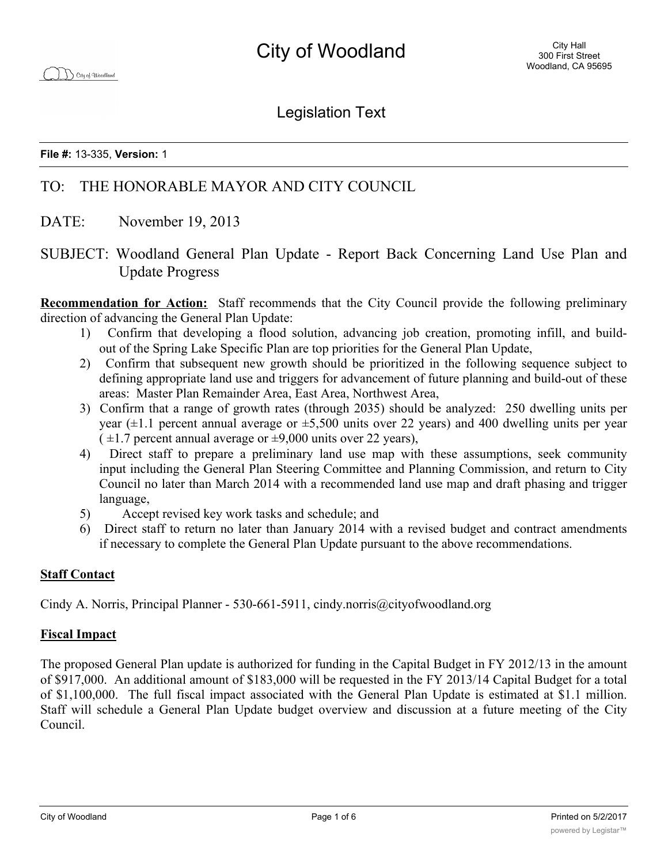Legislation Text

**File #:** 13-335, **Version:** 1

# TO: THE HONORABLE MAYOR AND CITY COUNCIL

- DATE: November 19, 2013
- SUBJECT: Woodland General Plan Update Report Back Concerning Land Use Plan and Update Progress

**Recommendation for Action:** Staff recommends that the City Council provide the following preliminary direction of advancing the General Plan Update:

- 1) Confirm that developing a flood solution, advancing job creation, promoting infill, and buildout of the Spring Lake Specific Plan are top priorities for the General Plan Update,
- 2) Confirm that subsequent new growth should be prioritized in the following sequence subject to defining appropriate land use and triggers for advancement of future planning and build-out of these areas: Master Plan Remainder Area, East Area, Northwest Area,
- 3) Confirm that a range of growth rates (through 2035) should be analyzed: 250 dwelling units per year  $(\pm 1.1$  percent annual average or  $\pm 5,500$  units over 22 years) and 400 dwelling units per year  $(\pm 1.7$  percent annual average or  $\pm 9,000$  units over 22 years),
- 4) Direct staff to prepare a preliminary land use map with these assumptions, seek community input including the General Plan Steering Committee and Planning Commission, and return to City Council no later than March 2014 with a recommended land use map and draft phasing and trigger language,
- 5) Accept revised key work tasks and schedule; and
- 6) Direct staff to return no later than January 2014 with a revised budget and contract amendments if necessary to complete the General Plan Update pursuant to the above recommendations.

# **Staff Contact**

Cindy A. Norris, Principal Planner - 530-661-5911, cindy.norris@cityofwoodland.org

## **Fiscal Impact**

The proposed General Plan update is authorized for funding in the Capital Budget in FY 2012/13 in the amount of \$917,000. An additional amount of \$183,000 will be requested in the FY 2013/14 Capital Budget for a total of \$1,100,000. The full fiscal impact associated with the General Plan Update is estimated at \$1.1 million. Staff will schedule a General Plan Update budget overview and discussion at a future meeting of the City Council.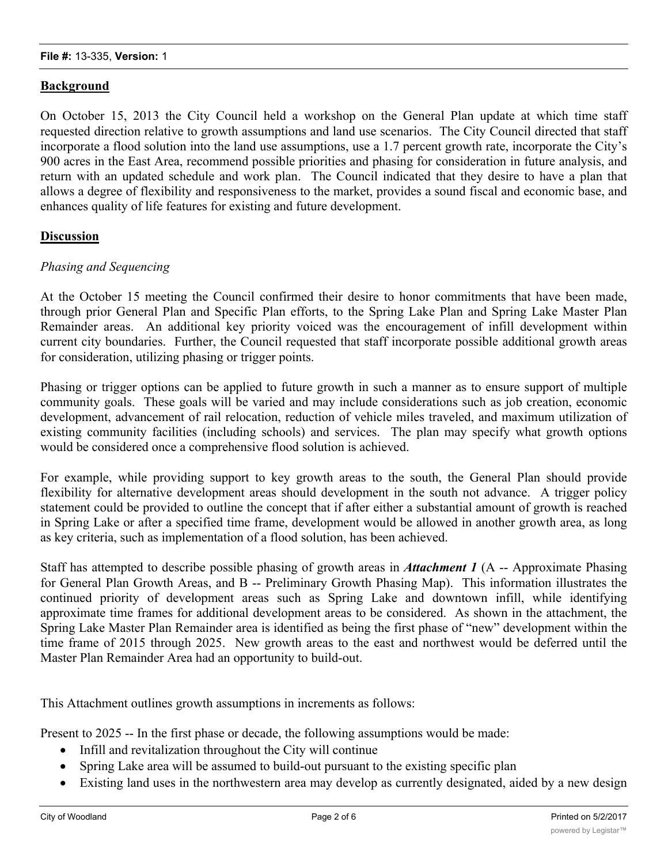## **Background**

On October 15, 2013 the City Council held a workshop on the General Plan update at which time staff requested direction relative to growth assumptions and land use scenarios. The City Council directed that staff incorporate a flood solution into the land use assumptions, use a 1.7 percent growth rate, incorporate the City's 900 acres in the East Area, recommend possible priorities and phasing for consideration in future analysis, and return with an updated schedule and work plan. The Council indicated that they desire to have a plan that allows a degree of flexibility and responsiveness to the market, provides a sound fiscal and economic base, and enhances quality of life features for existing and future development.

## **Discussion**

#### *Phasing and Sequencing*

At the October 15 meeting the Council confirmed their desire to honor commitments that have been made, through prior General Plan and Specific Plan efforts, to the Spring Lake Plan and Spring Lake Master Plan Remainder areas. An additional key priority voiced was the encouragement of infill development within current city boundaries. Further, the Council requested that staff incorporate possible additional growth areas for consideration, utilizing phasing or trigger points.

Phasing or trigger options can be applied to future growth in such a manner as to ensure support of multiple community goals. These goals will be varied and may include considerations such as job creation, economic development, advancement of rail relocation, reduction of vehicle miles traveled, and maximum utilization of existing community facilities (including schools) and services. The plan may specify what growth options would be considered once a comprehensive flood solution is achieved.

For example, while providing support to key growth areas to the south, the General Plan should provide flexibility for alternative development areas should development in the south not advance. A trigger policy statement could be provided to outline the concept that if after either a substantial amount of growth is reached in Spring Lake or after a specified time frame, development would be allowed in another growth area, as long as key criteria, such as implementation of a flood solution, has been achieved.

Staff has attempted to describe possible phasing of growth areas in *Attachment 1* (A -- Approximate Phasing for General Plan Growth Areas, and B -- Preliminary Growth Phasing Map). This information illustrates the continued priority of development areas such as Spring Lake and downtown infill, while identifying approximate time frames for additional development areas to be considered. As shown in the attachment, the Spring Lake Master Plan Remainder area is identified as being the first phase of "new" development within the time frame of 2015 through 2025. New growth areas to the east and northwest would be deferred until the Master Plan Remainder Area had an opportunity to build-out.

This Attachment outlines growth assumptions in increments as follows:

Present to 2025 -- In the first phase or decade, the following assumptions would be made:

- Infill and revitalization throughout the City will continue
- Spring Lake area will be assumed to build-out pursuant to the existing specific plan
- Existing land uses in the northwestern area may develop as currently designated, aided by a new design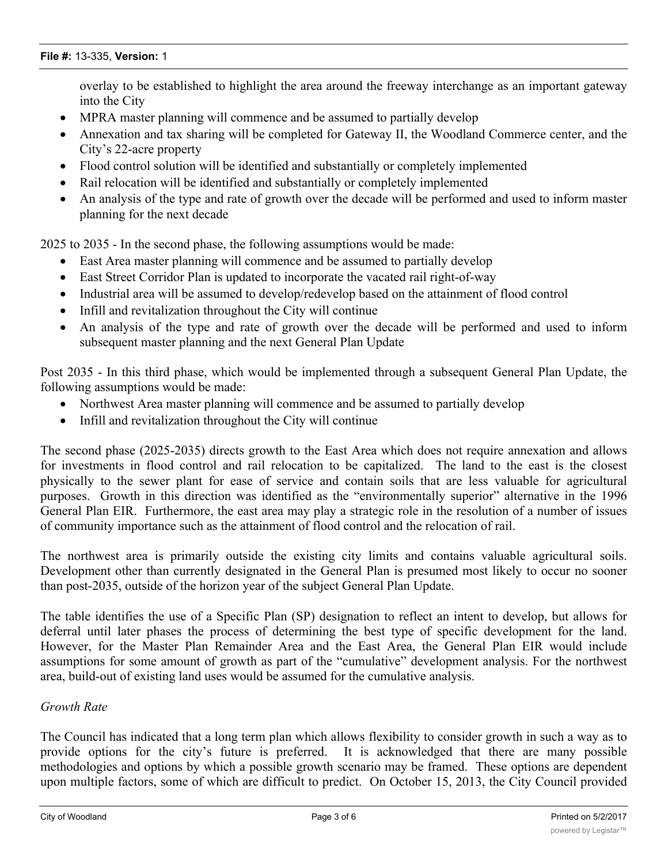overlay to be established to highlight the area around the freeway interchange as an important gateway into the City

- MPRA master planning will commence and be assumed to partially develop
- · Annexation and tax sharing will be completed for Gateway II, the Woodland Commerce center, and the City's 22-acre property
- Flood control solution will be identified and substantially or completely implemented
- · Rail relocation will be identified and substantially or completely implemented
- An analysis of the type and rate of growth over the decade will be performed and used to inform master planning for the next decade

2025 to 2035 - In the second phase, the following assumptions would be made:

- East Area master planning will commence and be assumed to partially develop
- East Street Corridor Plan is updated to incorporate the vacated rail right-of-way
- · Industrial area will be assumed to develop/redevelop based on the attainment of flood control
- Infill and revitalization throughout the City will continue
- · An analysis of the type and rate of growth over the decade will be performed and used to inform subsequent master planning and the next General Plan Update

Post 2035 - In this third phase, which would be implemented through a subsequent General Plan Update, the following assumptions would be made:

- Northwest Area master planning will commence and be assumed to partially develop
- Infill and revitalization throughout the City will continue

The second phase (2025-2035) directs growth to the East Area which does not require annexation and allows for investments in flood control and rail relocation to be capitalized. The land to the east is the closest physically to the sewer plant for ease of service and contain soils that are less valuable for agricultural purposes. Growth in this direction was identified as the "environmentally superior" alternative in the 1996 General Plan EIR. Furthermore, the east area may play a strategic role in the resolution of a number of issues of community importance such as the attainment of flood control and the relocation of rail.

The northwest area is primarily outside the existing city limits and contains valuable agricultural soils. Development other than currently designated in the General Plan is presumed most likely to occur no sooner than post-2035, outside of the horizon year of the subject General Plan Update.

The table identifies the use of a Specific Plan (SP) designation to reflect an intent to develop, but allows for deferral until later phases the process of determining the best type of specific development for the land. However, for the Master Plan Remainder Area and the East Area, the General Plan EIR would include assumptions for some amount of growth as part of the "cumulative" development analysis. For the northwest area, build-out of existing land uses would be assumed for the cumulative analysis.

#### *Growth Rate*

The Council has indicated that a long term plan which allows flexibility to consider growth in such a way as to provide options for the city's future is preferred. It is acknowledged that there are many possible methodologies and options by which a possible growth scenario may be framed. These options are dependent upon multiple factors, some of which are difficult to predict. On October 15, 2013, the City Council provided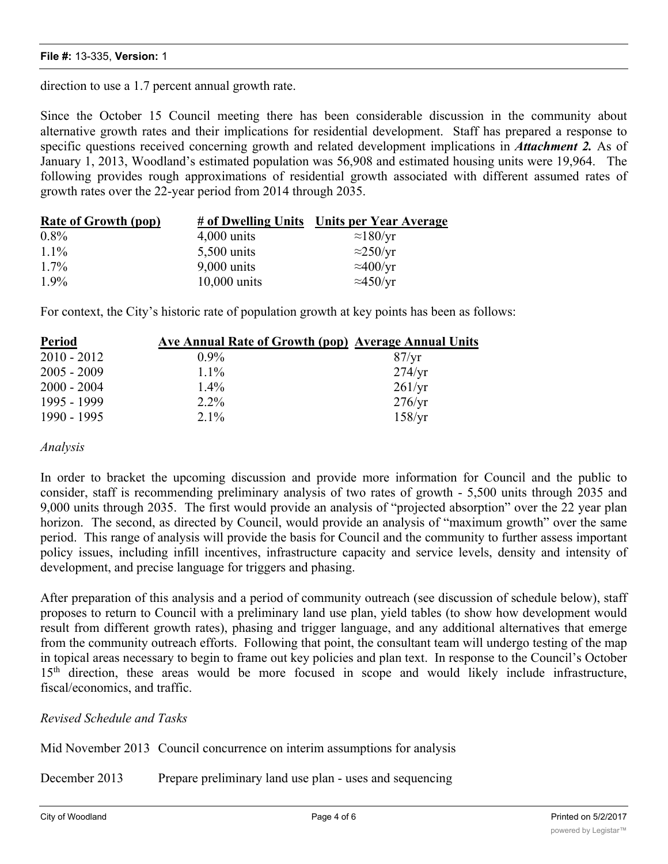direction to use a 1.7 percent annual growth rate.

Since the October 15 Council meeting there has been considerable discussion in the community about alternative growth rates and their implications for residential development. Staff has prepared a response to specific questions received concerning growth and related development implications in *Attachment 2.* As of January 1, 2013, Woodland's estimated population was 56,908 and estimated housing units were 19,964. The following provides rough approximations of residential growth associated with different assumed rates of growth rates over the 22-year period from 2014 through 2035.

| <b>Rate of Growth (pop)</b> | # of Dwelling Units | Units per Year Average |
|-----------------------------|---------------------|------------------------|
| $0.8\%$                     | $4,000$ units       | $\approx$ 180/yr       |
| $11\%$                      | $5,500$ units       | $\approx$ 250/yr       |
| $1.7\%$                     | $9,000$ units       | $\approx$ 400/yr       |
| $1.9\%$                     | $10,000$ units      | $\approx$ 450/yr       |

For context, the City's historic rate of population growth at key points has been as follows:

| Period        | Ave Annual Rate of Growth (pop) Average Annual Units |                 |
|---------------|------------------------------------------------------|-----------------|
| $2010 - 2012$ | $0.9\%$                                              | 87/yr           |
| $2005 - 2009$ | $1.1\%$                                              | $274/\text{yr}$ |
| $2000 - 2004$ | $1.4\%$                                              | 261/yr          |
| 1995 - 1999   | $2.2\%$                                              | $276/\text{yr}$ |
| 1990 - 1995   | $2.1\%$                                              | 158/yr          |

#### *Analysis*

In order to bracket the upcoming discussion and provide more information for Council and the public to consider, staff is recommending preliminary analysis of two rates of growth - 5,500 units through 2035 and 9,000 units through 2035. The first would provide an analysis of "projected absorption" over the 22 year plan horizon. The second, as directed by Council, would provide an analysis of "maximum growth" over the same period. This range of analysis will provide the basis for Council and the community to further assess important policy issues, including infill incentives, infrastructure capacity and service levels, density and intensity of development, and precise language for triggers and phasing.

After preparation of this analysis and a period of community outreach (see discussion of schedule below), staff proposes to return to Council with a preliminary land use plan, yield tables (to show how development would result from different growth rates), phasing and trigger language, and any additional alternatives that emerge from the community outreach efforts. Following that point, the consultant team will undergo testing of the map in topical areas necessary to begin to frame out key policies and plan text. In response to the Council's October 15<sup>th</sup> direction, these areas would be more focused in scope and would likely include infrastructure, fiscal/economics, and traffic.

#### *Revised Schedule and Tasks*

Mid November 2013 Council concurrence on interim assumptions for analysis

December 2013 Prepare preliminary land use plan - uses and sequencing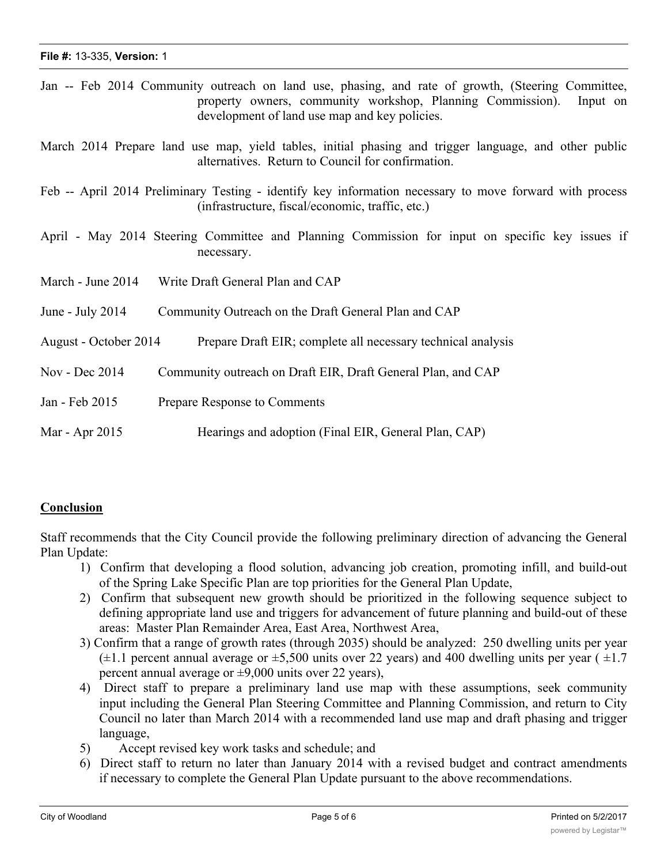|                       | Jan -- Feb 2014 Community outreach on land use, phasing, and rate of growth, (Steering Committee,<br>property owners, community workshop, Planning Commission).<br>Input on<br>development of land use map and key policies. |
|-----------------------|------------------------------------------------------------------------------------------------------------------------------------------------------------------------------------------------------------------------------|
|                       | March 2014 Prepare land use map, yield tables, initial phasing and trigger language, and other public<br>alternatives. Return to Council for confirmation.                                                                   |
|                       | Feb -- April 2014 Preliminary Testing - identify key information necessary to move forward with process<br>(infrastructure, fiscal/economic, traffic, etc.)                                                                  |
|                       | April - May 2014 Steering Committee and Planning Commission for input on specific key issues if<br>necessary.                                                                                                                |
| March - June 2014     | Write Draft General Plan and CAP                                                                                                                                                                                             |
| June - July $2014$    | Community Outreach on the Draft General Plan and CAP                                                                                                                                                                         |
| August - October 2014 | Prepare Draft EIR; complete all necessary technical analysis                                                                                                                                                                 |
| Nov - Dec 2014        | Community outreach on Draft EIR, Draft General Plan, and CAP                                                                                                                                                                 |
| Jan - Feb 2015        | Prepare Response to Comments                                                                                                                                                                                                 |
| Mar - Apr 2015        | Hearings and adoption (Final EIR, General Plan, CAP)                                                                                                                                                                         |

# **Conclusion**

Staff recommends that the City Council provide the following preliminary direction of advancing the General Plan Update:

- 1) Confirm that developing a flood solution, advancing job creation, promoting infill, and build-out of the Spring Lake Specific Plan are top priorities for the General Plan Update,
- 2) Confirm that subsequent new growth should be prioritized in the following sequence subject to defining appropriate land use and triggers for advancement of future planning and build-out of these areas: Master Plan Remainder Area, East Area, Northwest Area,
- 3) Confirm that a range of growth rates (through 2035) should be analyzed: 250 dwelling units per year  $(\pm 1.1$  percent annual average or  $\pm 5,500$  units over 22 years) and 400 dwelling units per year ( $\pm 1.7$ ) percent annual average or  $\pm$ 9,000 units over 22 years).
- 4) Direct staff to prepare a preliminary land use map with these assumptions, seek community input including the General Plan Steering Committee and Planning Commission, and return to City Council no later than March 2014 with a recommended land use map and draft phasing and trigger language,
- 5) Accept revised key work tasks and schedule; and
- 6) Direct staff to return no later than January 2014 with a revised budget and contract amendments if necessary to complete the General Plan Update pursuant to the above recommendations.